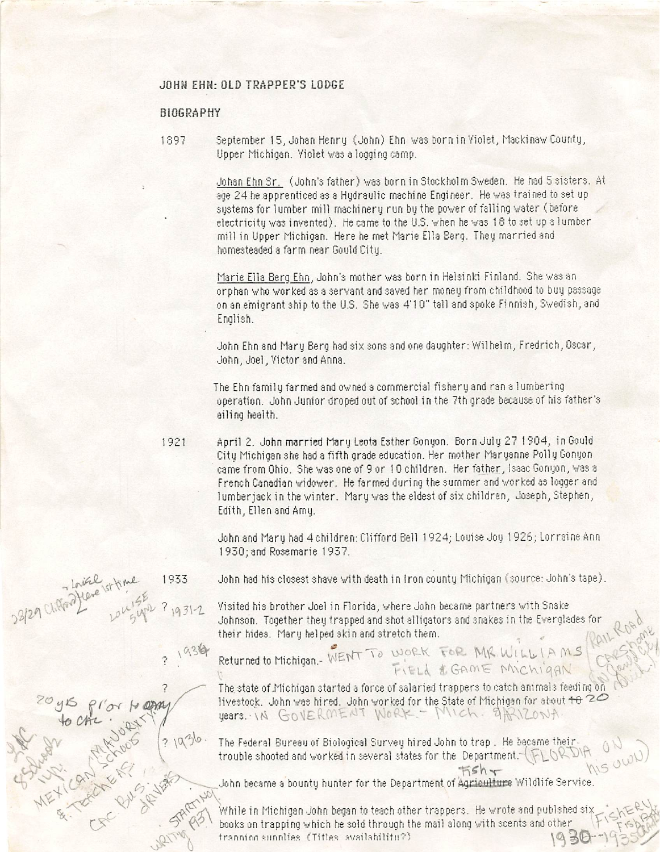## JOHM EHH: OLD TRAPPER'S LODGE

### BIOGRAPHY

 $H^{\alpha}$  r  $\Omega$   $\Omega$   $\mathcal{V}$   $\mathcal{V}$ 

 $31936.$ 

1897 September 15, Johan Henry (John) Ehn was born in Violet, Mackinaw County, Upper Michigan. Violet vas a logging camp.

> Johan Ehn Sr. (John's father) vas born in Stockholm Sveden. He had 5 sisters. At age 24 he apprenticed as a Hydraulic machine Engineer. He was trained to set up systems for lumber mill machinery run by the power of falling water (before electricity was invented). He came to the U.S. when he was 18 to set up a lumber mill in Upper Michigan. Here he met Marie Ella Berg. They married and homesteaded a farm near Gould City.

> Marie Ella Sera Ehn. John's mother vas born in Helsinki Finland. She vas an orphan who worked as a servant and saved her money from childhood to buy passage on an emigrant ship to the U.S. She was 4'10" tall and spoke Finnish, Swedish, and English.

John Ehn and Mary Berg had six sons and one daughter: Wilhelm, Fredrich, Oscar, John, Joel, Victor and Anna.

The Ehn family farmed and owned a commercial fishery and ran a lumbering operation. John Junior droped out of school in the 7th grade because of his father's ailing health.

1921 April 2. John married Mary Leota Esther Gonyon. Born July 27 1904, in Gould City Michigan she had a fifth grade education. Her mother Maryanne Polly Gonyon came from Ohio. She was one of 9 or 10 children. Her father, Isaac Gonyon, was a French Canadian widower. He farmed during the summer and worked as logger and lumberjack in the winter. Mary was the eldest of six children, Joseph, Stephen, Edith, Ellen and Amy.

> John and Mary had 4children: Clifford Bell 1924; Louise Jog 1926; Lorraine Ann 1930; and Rosemarie 1937.

1933 - John had his closest shave with death in Iron county Michigan (source: John's tape).

Visited his brother Joel in Florida, where John became partners with Snake " Johnson. Together they trapped and shot alligators and snakes in the Everglades for their hides. Mary helped skin and stretch them. \_ ^

Returned to Michigan. WENT TO WORK FOR MIR WILL IAMS

The state of .Michigan started a force of salaried trappers to catch ani mals feedi ng on livestock. John was hired. John worked for the State of Michigan for about  $\pm\theta$  20 years. IN GOVERMENT WORK. - MICH. 9ARIZONA.

The Federal Bureau of Biological Survey hired John to trap . He became their trouble shooted and worked in several states for the Department.- $(\mathbb{FLOR}_{\mathbb{F}_p})$ 

John became a bounty hunter for the Department of Agriculture Wildlife Service.

While in Michigan John began to teach other trappers. He wrote and publshed six books on trapping which he sold through the mail along with scents and other franning sunnlies (Titles svailabilitu?)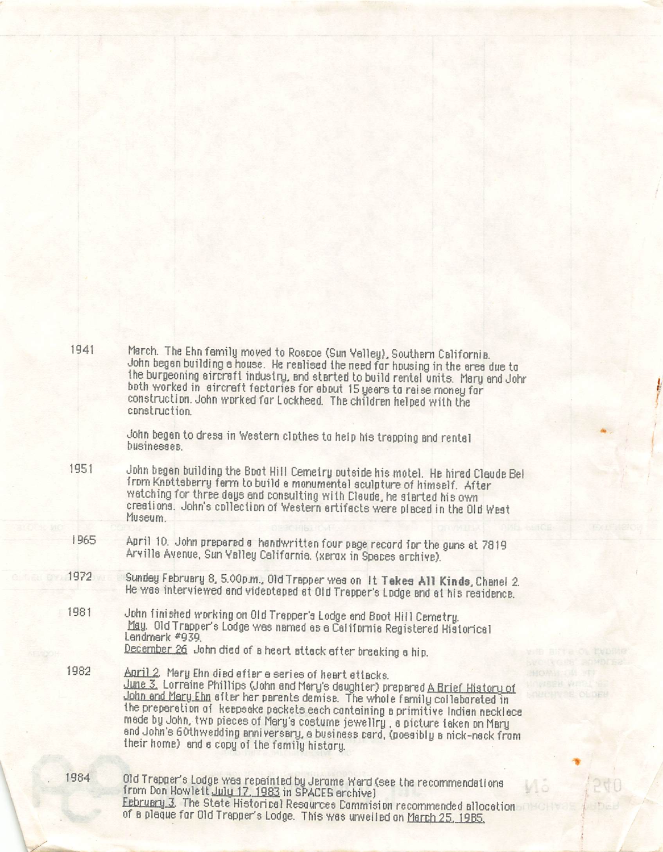| 1941 | March. The Ehn family moved to Roscoe (Sun Valley), Southern California.<br>John began building a house. He realised the need for housing in the area due to<br>the burgeoning sircreft industry, and started to build rental units. Mary and Johr<br>both worked in aircraft factories for about 15 years to raise money for<br>construction. John worked for Lockheed. The children helped with the<br>construction.                                                                                                             |
|------|------------------------------------------------------------------------------------------------------------------------------------------------------------------------------------------------------------------------------------------------------------------------------------------------------------------------------------------------------------------------------------------------------------------------------------------------------------------------------------------------------------------------------------|
|      | John began to dress in Western clothes to help his trapping and rental<br>businesses                                                                                                                                                                                                                                                                                                                                                                                                                                               |
| 1951 | John begen building the Boot Hill Cemetry outside his motel. He hired Claude Bel<br>from Knottsberry ferm to build e monumentel sculpture of himself. After<br>watching for three days and consulting with Claude, he siarted his own<br>creations. John's collection of Western artifacts were placed in the Old West<br>Museum.                                                                                                                                                                                                  |
| 1965 | April 10. John prepared a handwritten four page record for the guns at 7819<br>Arville Avenue, Sun Valley California. (xerox in Speces erchive).                                                                                                                                                                                                                                                                                                                                                                                   |
| 1972 | Sundey February 8, 5.00p.m., Old Trapper wes on It Takes All Kinds, Chanel 2.<br>He was interviewed and videotaped at Old Trapper's Lodge and at his residence.                                                                                                                                                                                                                                                                                                                                                                    |
| 1981 | John finished working on Old Trepper's Lodge and Boot Hill Cemetry.<br>May. Old Trapper's Lodge was named as a California Registered Historical<br>Lendmerk #939.<br>December 26 John died of a heart attack after breaking a hip.                                                                                                                                                                                                                                                                                                 |
| 1982 | Anril 2 Mery Ehn died efter a series of heart ettacks.<br>June 3. Lorreine Phillips (John and Mary's daughter) prepared A Brief History of<br>John and Mary Ehn efter her parents demise. The whole family collaborated in<br>the preperetion of keepseke peckets each containing a primitive Indian necklece<br>mede by John, two pieces of Mery's costume jewellry, a picture taken on Mary<br>and John's 60th wedding anniversary, a business card, (possibly a nick-nack from<br>their home) and a copy of the family history. |
| 1984 | Old Trepper's Lodge wes repeinted by Jerome Ward (see the recommendations<br>from Don Howlett July 17, 1983 in SPACES archive)<br>February 3. The State Historical Resources Commision recommended allocation<br>$\Delta \theta$ a algebra from $\Omega$ d $\theta$                                                                                                                                                                                                                                                                |

of a plaque for Old Trapper's Lodge. This was unveiled on March 25 iqRk

 $\overline{\phantom{a}}$